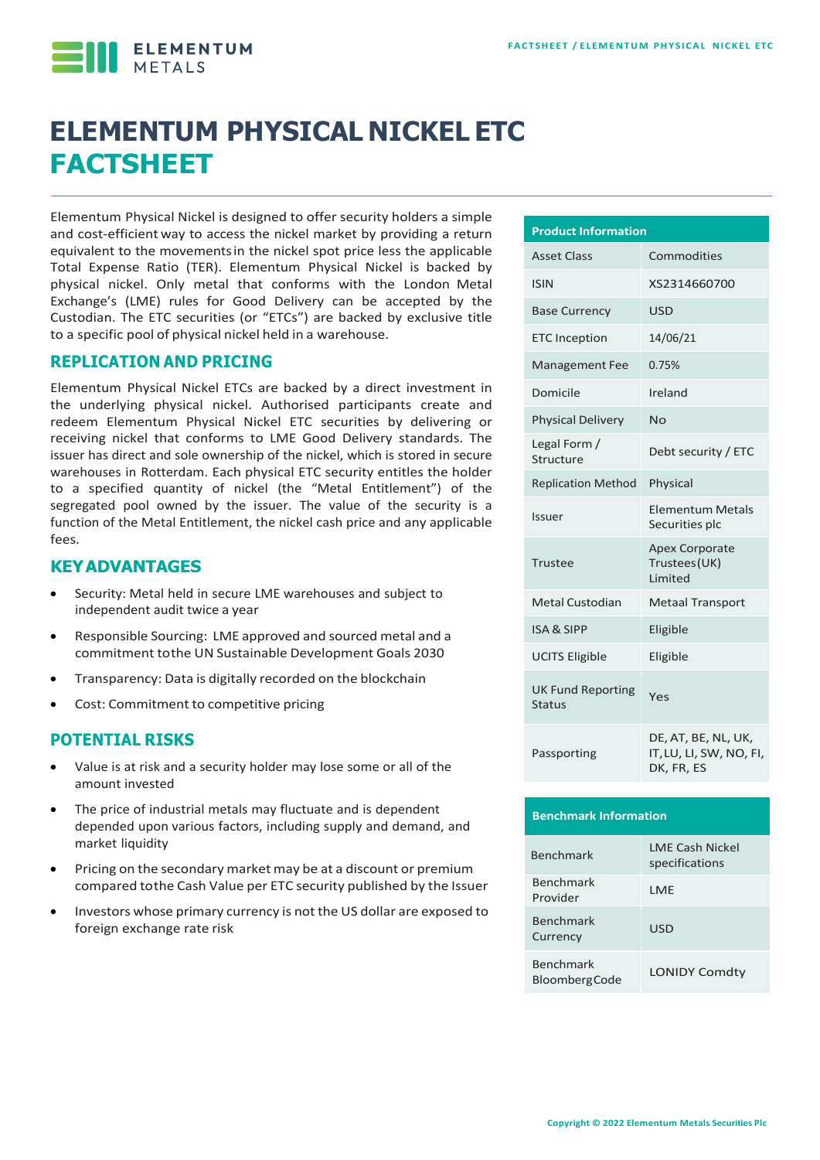ELEMENTUM

# **ELEMENTUM PHYSICAL NICKEL ETC FACTSHEET**

Elementum Physical Nickel is designed to offer security holders a simple and cost-efficient way to access the nickel market by providing a return equivalent to the movementsin the nickel spot price less the applicable Total Expense Ratio (TER). Elementum Physical Nickel is backed by physical nickel. Only metal that conforms with the London Metal Exchange's (LME) rules for Good Delivery can be accepted by the Custodian. The ETC securities (or "ETCs") are backed by exclusive title to a specific pool of physical nickel held in a warehouse.

#### **REPLICATION AND PRICING**

Elementum Physical Nickel ETCs are backed by a direct investment in the underlying physical nickel. Authorised participants create and redeem Elementum Physical Nickel ETC securities by delivering or receiving nickel that conforms to LME Good Delivery standards. The issuer has direct and sole ownership of the nickel, which is stored in secure warehouses in Rotterdam. Each physical ETC security entitles the holder to a specified quantity of nickel (the "Metal Entitlement") of the segregated pool owned by the issuer. The value of the security is a function of the Metal Entitlement, the nickel cash price and any applicable fees.

#### **KEYADVANTAGES**

- Security: Metal held in secure LME warehouses and subject to independent audit twice a year
- Responsible Sourcing: LME approved and sourced metal and a commitment tothe UN Sustainable Development Goals 2030
- Transparency: Data is digitally recorded on the blockchain
- Cost: Commitment to competitive pricing

#### **POTENTIAL RISKS**

- Value is at risk and a security holder may lose some or all of the amount invested
- The price of industrial metals may fluctuate and is dependent depended upon various factors, including supply and demand, and market liquidity
- Pricing on the secondary market may be at a discount or premium compared tothe Cash Value per ETC security published by the Issuer
- Investors whose primary currency is not the US dollar are exposed to foreign exchange rate risk

| <b>Product Information</b>         |                                                              |  |  |  |  |
|------------------------------------|--------------------------------------------------------------|--|--|--|--|
| <b>Asset Class</b>                 | Commodities                                                  |  |  |  |  |
| <b>ISIN</b>                        | XS2314660700                                                 |  |  |  |  |
| <b>Base Currency</b>               | <b>USD</b>                                                   |  |  |  |  |
| <b>ETC</b> Inception               | 14/06/21                                                     |  |  |  |  |
| <b>Management Fee</b>              | 0.75%                                                        |  |  |  |  |
| Domicile                           | Ireland                                                      |  |  |  |  |
| <b>Physical Delivery</b>           | No                                                           |  |  |  |  |
| Legal Form /<br>Structure          | Debt security / ETC                                          |  |  |  |  |
| <b>Replication Method</b>          | Physical                                                     |  |  |  |  |
| Issuer                             | Elementum Metals<br>Securities plc                           |  |  |  |  |
| Trustee                            | <b>Apex Corporate</b><br>Trustees (UK)<br><b>Limited</b>     |  |  |  |  |
| <b>Metal Custodian</b>             | <b>Metaal Transport</b>                                      |  |  |  |  |
| <b>ISA &amp; SIPP</b>              | Eligible                                                     |  |  |  |  |
| <b>UCITS Eligible</b>              | Eligible                                                     |  |  |  |  |
| <b>UK Fund Reporting</b><br>Status | Yes                                                          |  |  |  |  |
| Passporting                        | DE, AT, BE, NL, UK,<br>IT, LU, LI, SW, NO, FI,<br>DK, FR, ES |  |  |  |  |

## **Benchmark Information**

| <b>Benchmark</b>                  | LME Cash Nickel<br>specifications |
|-----------------------------------|-----------------------------------|
| <b>Benchmark</b><br>Provider      | I MF                              |
| <b>Benchmark</b><br>Currency      | USD                               |
| Benchmark<br><b>BloombergCode</b> | <b>LONIDY Comdty</b>              |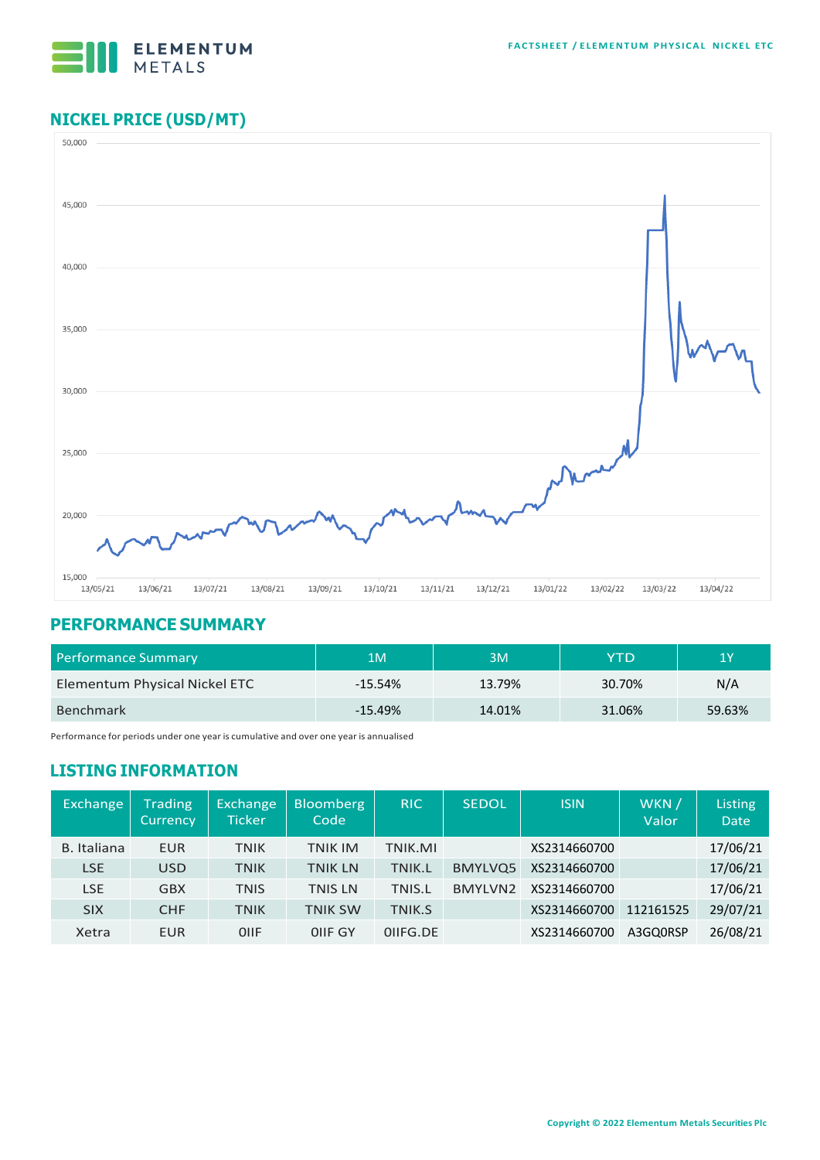

## **NICKEL PRICE (USD/MT)**



#### **PERFORMANCE SUMMARY**

| Performance Summary           | 1M        | 3M     | YTD    | 1Y     |
|-------------------------------|-----------|--------|--------|--------|
| Elementum Physical Nickel ETC | $-15.54%$ | 13.79% | 30.70% | N/A    |
| <b>Benchmark</b>              | $-15.49%$ | 14.01% | 31.06% | 59.63% |

Performance for periods under one year is cumulative and over one year is annualised

## **LISTING INFORMATION**

| Exchange    | <b>Trading</b><br><b>Currency</b> | Exchange<br>Ticker | <b>Bloomberg</b><br>Code | <b>RIC</b>    | <b>SEDOL</b> | <b>ISIN</b>  | WKN /<br>Valor | Listing<br><b>Date</b> |
|-------------|-----------------------------------|--------------------|--------------------------|---------------|--------------|--------------|----------------|------------------------|
| B. Italiana | EUR                               | <b>TNIK</b>        | <b>TNIK IM</b>           | TNIK.MI       |              | XS2314660700 |                | 17/06/21               |
| <b>LSE</b>  | <b>USD</b>                        | <b>TNIK</b>        | <b>TNIK LN</b>           | TNIK.L        | BMYLVQ5      | XS2314660700 |                | 17/06/21               |
| LSE         | <b>GBX</b>                        | <b>TNIS</b>        | <b>TNIS LN</b>           | <b>TNIS.L</b> | BMYLVN2      | XS2314660700 |                | 17/06/21               |
| <b>SIX</b>  | <b>CHF</b>                        | <b>TNIK</b>        | <b>TNIK SW</b>           | TNIK.S        |              | XS2314660700 | 112161525      | 29/07/21               |
| Xetra       | EUR                               | OIIF               | OIIF GY                  | OIIFG.DE      |              | XS2314660700 | A3GQ0RSP       | 26/08/21               |